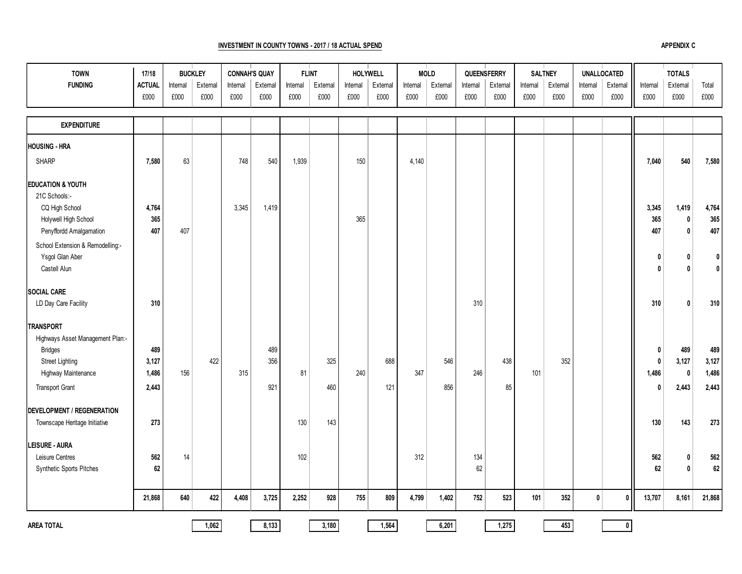## **INVESTMENT IN COUNTY TOWNS - 2017 / 18 ACTUAL SPEND**

| <b>TOWN</b><br><b>FUNDING</b>                                       | 17/18<br><b>ACTUAL</b><br>£000 | Internal<br>£000 | <b>BUCKLEY</b><br>External<br>£000 | Internal<br>£000 | <b>CONNAH'S QUAY</b><br>External<br>£000 | Internal<br>£000 | <b>FLINT</b><br>External<br>£000 | Internal<br>£000 | <b>HOLYWELL</b><br>External<br>£000 | Internal<br>£000 | <b>MOLD</b><br>External<br>£000 | Internal<br>£000 | QUEENSFERRY<br>External<br>£000 | Internal<br>£000 | <b>SALTNEY</b><br>External<br>£000 | Internal<br>£000 | <b>UNALLOCATED</b><br>External<br>£000 | Internal<br>£000 | <b>TOTALS</b><br>External<br>£000 | Total<br>£000                |
|---------------------------------------------------------------------|--------------------------------|------------------|------------------------------------|------------------|------------------------------------------|------------------|----------------------------------|------------------|-------------------------------------|------------------|---------------------------------|------------------|---------------------------------|------------------|------------------------------------|------------------|----------------------------------------|------------------|-----------------------------------|------------------------------|
| <b>EXPENDITURE</b>                                                  |                                |                  |                                    |                  |                                          |                  |                                  |                  |                                     |                  |                                 |                  |                                 |                  |                                    |                  |                                        |                  |                                   |                              |
| <b>HOUSING - HRA</b>                                                |                                |                  |                                    |                  |                                          |                  |                                  |                  |                                     |                  |                                 |                  |                                 |                  |                                    |                  |                                        |                  |                                   |                              |
| <b>SHARP</b>                                                        | 7,580                          | 63               |                                    | 748              | 540                                      | 1,939            |                                  | 150              |                                     | 4,140            |                                 |                  |                                 |                  |                                    |                  |                                        | 7,040            | 540                               | 7,580                        |
| <b>EDUCATION &amp; YOUTH</b><br>21C Schools:-<br>CQ High School     | 4,764                          |                  |                                    | 3,345            | 1,419                                    |                  |                                  |                  |                                     |                  |                                 |                  |                                 |                  |                                    |                  |                                        | 3,345            | 1,419                             | 4,764                        |
| Holywell High School<br>Penyffordd Amalgamation                     | 365<br>407                     | 407              |                                    |                  |                                          |                  |                                  | 365              |                                     |                  |                                 |                  |                                 |                  |                                    |                  |                                        | 365<br>407       | $\mathbf 0$<br>$\mathbf{0}$       | 365<br>407                   |
| School Extension & Remodelling:-<br>Ysgol Glan Aber<br>Castell Alun |                                |                  |                                    |                  |                                          |                  |                                  |                  |                                     |                  |                                 |                  |                                 |                  |                                    |                  |                                        | 0<br>0           | - 0<br>$\mathbf{r}$               | $\mathbf{0}$<br>$\mathbf{0}$ |
| <b>SOCIAL CARE</b><br>LD Day Care Facility                          | 310                            |                  |                                    |                  |                                          |                  |                                  |                  |                                     |                  |                                 | 310              |                                 |                  |                                    |                  |                                        | 310              | $\mathbf{0}$                      | 310                          |
| <b>TRANSPORT</b><br>Highways Asset Management Plan:-                |                                |                  |                                    |                  |                                          |                  |                                  |                  |                                     |                  |                                 |                  |                                 |                  |                                    |                  |                                        |                  |                                   |                              |
| <b>Bridges</b><br><b>Street Lighting</b>                            | 489<br>3,127                   |                  | 422                                |                  | 489<br>356                               |                  | 325                              |                  | 688                                 |                  | 546                             |                  | 438                             |                  | 352                                |                  |                                        | 0<br>0           | 489<br>3,127                      | 489<br>3,127                 |
| Highway Maintenance                                                 | 1,486                          | 156              |                                    | 315              |                                          | 81               |                                  | 240              |                                     | 347              |                                 | 246              |                                 | 101              |                                    |                  |                                        | 1,486            | $\mathbf{0}$                      | 1,486                        |
| <b>Transport Grant</b>                                              | 2,443                          |                  |                                    |                  | 921                                      |                  | 460                              |                  | 121                                 |                  | 856                             |                  | 85                              |                  |                                    |                  |                                        | 0                | 2,443                             | 2,443                        |
| <b>DEVELOPMENT / REGENERATION</b><br>Townscape Heritage Initiative  | 273                            |                  |                                    |                  |                                          | 130              | 143                              |                  |                                     |                  |                                 |                  |                                 |                  |                                    |                  |                                        | 130              | 143                               | 273                          |
|                                                                     |                                |                  |                                    |                  |                                          |                  |                                  |                  |                                     |                  |                                 |                  |                                 |                  |                                    |                  |                                        |                  |                                   |                              |
| <b>LEISURE - AURA</b><br>Leisure Centres                            | 562                            | 14               |                                    |                  |                                          | 102              |                                  |                  |                                     | 312              |                                 | 134              |                                 |                  |                                    |                  |                                        | 562              | 0                                 | 562                          |
| Synthetic Sports Pitches                                            | 62                             |                  |                                    |                  |                                          |                  |                                  |                  |                                     |                  |                                 | 62               |                                 |                  |                                    |                  |                                        | 62               | $\mathbf{0}$                      | 62                           |
|                                                                     | 21,868                         | 640              | 422                                | 4,408            | 3,725                                    | 2,252            | 928                              | 755              | 809                                 | 4,799            | 1,402                           | 752              | 523                             | 101              | 352                                | 0                | $\pmb{0}$                              | 13,707           | 8,161                             | 21,868                       |
| <b>AREA TOTAL</b>                                                   |                                |                  | 1,062                              |                  | 8,133                                    |                  | 3,180                            |                  | 1,564                               |                  | 6,201                           |                  | 1,275                           |                  | 453                                |                  | $\pmb{0}$                              |                  |                                   |                              |

**APPENDIX C**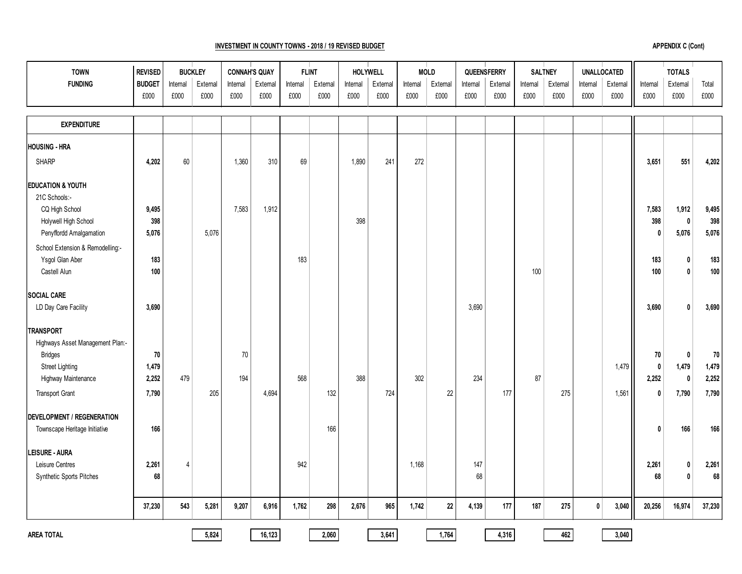## **INVESTMENT IN COUNTY TOWNS - 2018 / 19 REVISED BUDGET**

| <b>APPENDIX C (Cont)</b> |  |  |
|--------------------------|--|--|
|--------------------------|--|--|

| <b>TOWN</b><br><b>FUNDING</b>     | <b>REVISED</b><br><b>BUDGET</b><br>£000 | Internal<br>£000 | <b>BUCKLEY</b><br>External<br>£000 | Internal<br>£000 | <b>CONNAH'S QUAY</b><br>External<br>£000 | <b>FLINT</b><br>Internal<br>£000 | External<br>£000 | Internal<br>£000 | HOLYWELL<br>External<br>£000 | Internal<br>£000 | <b>MOLD</b><br>Extemal<br>£000 | QUEENSFERRY<br>Internal<br>£000 | External<br>£000 | Internal<br>£000 | <b>SALTNEY</b><br>External<br>£000 | Internal<br>£000 | <b>UNALLOCATED</b><br>External<br>£000 | Internal<br>£000 | <b>TOTALS</b><br>External<br>£000 | Total<br>£000 |
|-----------------------------------|-----------------------------------------|------------------|------------------------------------|------------------|------------------------------------------|----------------------------------|------------------|------------------|------------------------------|------------------|--------------------------------|---------------------------------|------------------|------------------|------------------------------------|------------------|----------------------------------------|------------------|-----------------------------------|---------------|
|                                   |                                         |                  |                                    |                  |                                          |                                  |                  |                  |                              |                  |                                |                                 |                  |                  |                                    |                  |                                        |                  |                                   |               |
| <b>EXPENDITURE</b>                |                                         |                  |                                    |                  |                                          |                                  |                  |                  |                              |                  |                                |                                 |                  |                  |                                    |                  |                                        |                  |                                   |               |
| <b>HOUSING - HRA</b>              |                                         |                  |                                    |                  |                                          |                                  |                  |                  |                              |                  |                                |                                 |                  |                  |                                    |                  |                                        |                  |                                   |               |
| <b>SHARP</b>                      | 4,202                                   | 60               |                                    | 1,360            | 310                                      | 69                               |                  | 1,890            | 241                          | 272              |                                |                                 |                  |                  |                                    |                  |                                        | 3,651            | 551                               | 4,202         |
| <b>EDUCATION &amp; YOUTH</b>      |                                         |                  |                                    |                  |                                          |                                  |                  |                  |                              |                  |                                |                                 |                  |                  |                                    |                  |                                        |                  |                                   |               |
| 21C Schools:-                     |                                         |                  |                                    |                  |                                          |                                  |                  |                  |                              |                  |                                |                                 |                  |                  |                                    |                  |                                        |                  |                                   |               |
| CQ High School                    | 9,495                                   |                  |                                    | 7,583            | 1,912                                    |                                  |                  |                  |                              |                  |                                |                                 |                  |                  |                                    |                  |                                        | 7,583            | 1,912                             | 9,495         |
| Holywell High School              | 398                                     |                  |                                    |                  |                                          |                                  |                  | 398              |                              |                  |                                |                                 |                  |                  |                                    |                  |                                        | 398              | $\pmb{0}$                         | 398           |
| Penyffordd Amalgamation           | 5,076                                   |                  | 5,076                              |                  |                                          |                                  |                  |                  |                              |                  |                                |                                 |                  |                  |                                    |                  |                                        | 0                | 5,076                             | 5,076         |
| School Extension & Remodelling:-  |                                         |                  |                                    |                  |                                          |                                  |                  |                  |                              |                  |                                |                                 |                  |                  |                                    |                  |                                        |                  |                                   |               |
| Ysgol Glan Aber                   | 183                                     |                  |                                    |                  |                                          | 183                              |                  |                  |                              |                  |                                |                                 |                  |                  |                                    |                  |                                        | 183              | $\mathbf{0}$                      | 183           |
| Castell Alun                      | 100                                     |                  |                                    |                  |                                          |                                  |                  |                  |                              |                  |                                |                                 |                  | 100              |                                    |                  |                                        | 100              | $\mathbf{0}$                      | 100           |
| <b>SOCIAL CARE</b>                |                                         |                  |                                    |                  |                                          |                                  |                  |                  |                              |                  |                                |                                 |                  |                  |                                    |                  |                                        |                  |                                   |               |
| LD Day Care Facility              | 3,690                                   |                  |                                    |                  |                                          |                                  |                  |                  |                              |                  |                                | 3,690                           |                  |                  |                                    |                  |                                        | 3,690            | 0                                 | 3,690         |
| <b>TRANSPORT</b>                  |                                         |                  |                                    |                  |                                          |                                  |                  |                  |                              |                  |                                |                                 |                  |                  |                                    |                  |                                        |                  |                                   |               |
| Highways Asset Management Plan:-  |                                         |                  |                                    |                  |                                          |                                  |                  |                  |                              |                  |                                |                                 |                  |                  |                                    |                  |                                        |                  |                                   |               |
| <b>Bridges</b>                    | 70                                      |                  |                                    | 70               |                                          |                                  |                  |                  |                              |                  |                                |                                 |                  |                  |                                    |                  |                                        | 70               | $\mathbf 0$                       | 70            |
| <b>Street Lighting</b>            | 1,479                                   |                  |                                    |                  |                                          |                                  |                  |                  |                              |                  |                                |                                 |                  |                  |                                    |                  | 1,479                                  | 0                | 1,479                             | 1,479         |
| Highway Maintenance               | 2,252                                   | 479              |                                    | 194              |                                          | 568                              |                  | 388              |                              | 302              |                                | 234                             |                  | 87               |                                    |                  |                                        | 2,252            | 0                                 | 2,252         |
| <b>Transport Grant</b>            | 7,790                                   |                  | 205                                |                  | 4,694                                    |                                  | 132              |                  | 724                          |                  | 22                             |                                 | 177              |                  | 275                                |                  | 1,561                                  | 0                | 7,790                             | 7,790         |
| <b>DEVELOPMENT / REGENERATION</b> |                                         |                  |                                    |                  |                                          |                                  |                  |                  |                              |                  |                                |                                 |                  |                  |                                    |                  |                                        |                  |                                   |               |
| Townscape Heritage Initiative     | 166                                     |                  |                                    |                  |                                          |                                  | 166              |                  |                              |                  |                                |                                 |                  |                  |                                    |                  |                                        | 0                | 166                               | 166           |
| <b>LEISURE - AURA</b>             |                                         |                  |                                    |                  |                                          |                                  |                  |                  |                              |                  |                                |                                 |                  |                  |                                    |                  |                                        |                  |                                   |               |
| Leisure Centres                   | 2,261                                   | 4                |                                    |                  |                                          | 942                              |                  |                  |                              | 1,168            |                                | 147                             |                  |                  |                                    |                  |                                        | 2,261            | 0                                 | 2,261         |
| Synthetic Sports Pitches          | 68                                      |                  |                                    |                  |                                          |                                  |                  |                  |                              |                  |                                | 68                              |                  |                  |                                    |                  |                                        | 68               | $\mathbf{0}$                      | 68            |
|                                   | 37,230                                  | 543              | 5,281                              | 9,207            | 6,916                                    | 1,762                            | 298              | 2,676            | 965                          | 1,742            | $22\,$                         | 4,139                           | 177              | 187              | 275                                | $\pmb{0}$        | 3,040                                  | 20,256           | 16,974                            | 37,230        |
|                                   |                                         |                  |                                    |                  |                                          |                                  |                  |                  |                              |                  |                                |                                 |                  |                  |                                    |                  |                                        |                  |                                   |               |
| <b>AREA TOTAL</b>                 |                                         |                  | 5,824                              |                  | 16,123                                   |                                  | 2,060            |                  | 3,641                        |                  | 1,764                          |                                 | 4,316            |                  | 462                                |                  | 3,040                                  |                  |                                   |               |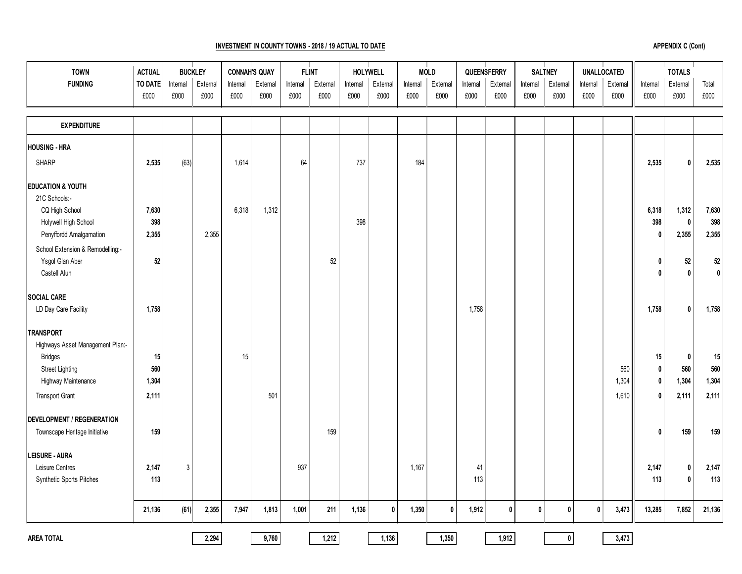## **INVESTMENT IN COUNTY TOWNS - 2018 / 19 ACTUAL TO DATE**

| <b>TOWN</b>                      | <b>ACTUAL</b>  |          | <b>BUCKLEY</b> | <b>CONNAH'S QUAY</b> |         | <b>FLINT</b> |          | <b>HOLYWELL</b> |             |          | <b>MOLD</b> |          | QUEENSFERRY  |             | <b>SALTNEY</b> |              | <b>UNALLOCATED</b> |          | <b>TOTALS</b> |              |
|----------------------------------|----------------|----------|----------------|----------------------|---------|--------------|----------|-----------------|-------------|----------|-------------|----------|--------------|-------------|----------------|--------------|--------------------|----------|---------------|--------------|
| <b>FUNDING</b>                   | <b>TO DATE</b> | Internal | External       | Internal             | Extemal | Internal     | External | Internal        | External    | Internal | External    | Internal | External     | Internal    | External       | Internal     | External           | Internal | External      | Total        |
|                                  | £000           | £000     | £000           | £000                 | £000    | £000         | £000     | £000            | £000        | £000     | £000        | £000     | £000         | £000        | £000           | £000         | £000               | £000     | £000          | £000         |
|                                  |                |          |                |                      |         |              |          |                 |             |          |             |          |              |             |                |              |                    |          |               |              |
| <b>EXPENDITURE</b>               |                |          |                |                      |         |              |          |                 |             |          |             |          |              |             |                |              |                    |          |               |              |
| HOUSING - HRA                    |                |          |                |                      |         |              |          |                 |             |          |             |          |              |             |                |              |                    |          |               |              |
| <b>SHARP</b>                     | 2,535          | (63)     |                | 1,614                |         | 64           |          | 737             |             | 184      |             |          |              |             |                |              |                    | 2,535    | 0             | 2,535        |
| <b>EDUCATION &amp; YOUTH</b>     |                |          |                |                      |         |              |          |                 |             |          |             |          |              |             |                |              |                    |          |               |              |
| 21C Schools:-                    |                |          |                |                      |         |              |          |                 |             |          |             |          |              |             |                |              |                    |          |               |              |
| CQ High School                   | 7,630          |          |                | 6,318                | 1,312   |              |          |                 |             |          |             |          |              |             |                |              |                    | 6,318    | 1,312         | 7,630        |
| Holywell High School             | 398            |          |                |                      |         |              |          | 398             |             |          |             |          |              |             |                |              |                    | 398      | $\mathbf 0$   | 398          |
| Penyffordd Amalgamation          | 2,355          |          | 2,355          |                      |         |              |          |                 |             |          |             |          |              |             |                |              |                    | 0        | 2,355         | 2,355        |
| School Extension & Remodelling:- |                |          |                |                      |         |              |          |                 |             |          |             |          |              |             |                |              |                    |          |               |              |
| Ysgol Glan Aber                  | 52             |          |                |                      |         |              | 52       |                 |             |          |             |          |              |             |                |              |                    | 0        | $52\,$        | 52           |
| Castell Alun                     |                |          |                |                      |         |              |          |                 |             |          |             |          |              |             |                |              |                    | 0        | 0             | $\mathbf{0}$ |
| SOCIAL CARE                      |                |          |                |                      |         |              |          |                 |             |          |             |          |              |             |                |              |                    |          |               |              |
| LD Day Care Facility             | 1,758          |          |                |                      |         |              |          |                 |             |          |             | 1,758    |              |             |                |              |                    | 1,758    | 0             | 1,758        |
| <b>TRANSPORT</b>                 |                |          |                |                      |         |              |          |                 |             |          |             |          |              |             |                |              |                    |          |               |              |
| Highways Asset Management Plan:- |                |          |                |                      |         |              |          |                 |             |          |             |          |              |             |                |              |                    |          |               |              |
| <b>Bridges</b>                   | 15             |          |                | 15                   |         |              |          |                 |             |          |             |          |              |             |                |              |                    | 15       | 0             | 15           |
| <b>Street Lighting</b>           | 560            |          |                |                      |         |              |          |                 |             |          |             |          |              |             |                |              | 560                | 0        | 560           | 560          |
| Highway Maintenance              | 1,304          |          |                |                      |         |              |          |                 |             |          |             |          |              |             |                |              | 1,304              | 0        | 1,304         | 1,304        |
| <b>Transport Grant</b>           | 2,111          |          |                |                      | 501     |              |          |                 |             |          |             |          |              |             |                |              | 1,610              | 0        | 2,111         | 2,111        |
| DEVELOPMENT / REGENERATION       |                |          |                |                      |         |              |          |                 |             |          |             |          |              |             |                |              |                    |          |               |              |
| Townscape Heritage Initiative    | 159            |          |                |                      |         |              | 159      |                 |             |          |             |          |              |             |                |              |                    | 0        | 159           | 159          |
| <b>LEISURE - AURA</b>            |                |          |                |                      |         |              |          |                 |             |          |             |          |              |             |                |              |                    |          |               |              |
| Leisure Centres                  | 2,147          | 3        |                |                      |         | 937          |          |                 |             | 1,167    |             | 41       |              |             |                |              |                    | 2,147    | 0             | 2,147        |
| Synthetic Sports Pitches         | 113            |          |                |                      |         |              |          |                 |             |          |             | 113      |              |             |                |              |                    | 113      | $\mathbf{0}$  | 113          |
|                                  | 21,136         | (61)     | 2,355          | 7,947                | 1,813   | 1,001        | 211      | 1,136           | $\mathbf 0$ | 1,350    | $\pmb{0}$   | 1,912    | $\mathbf{0}$ | $\mathbf 0$ | $\pmb{0}$      | $\mathbf{0}$ | 3,473              | 13,285   | 7,852         | 21,136       |
|                                  |                |          |                |                      |         |              |          |                 |             |          |             |          |              |             |                |              |                    |          |               |              |
| <b>AREA TOTAL</b>                |                |          | 2,294          |                      | 9,760   |              | 1,212    |                 | 1,136       |          | 1,350       |          | 1,912        |             | $\mathbf{0}$   |              | 3,473              |          |               |              |

**APPENDIX C (Cont)**